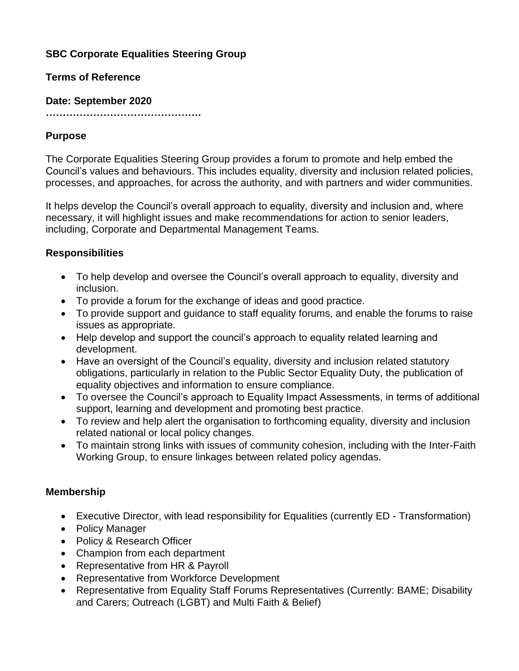# **SBC Corporate Equalities Steering Group**

### **Terms of Reference**

#### **Date: September 2020**

**……………………………………….**

## **Purpose**

The Corporate Equalities Steering Group provides a forum to promote and help embed the Council's values and behaviours. This includes equality, diversity and inclusion related policies, processes, and approaches, for across the authority, and with partners and wider communities.

It helps develop the Council's overall approach to equality, diversity and inclusion and, where necessary, it will highlight issues and make recommendations for action to senior leaders, including, Corporate and Departmental Management Teams.

### **Responsibilities**

- To help develop and oversee the Council's overall approach to equality, diversity and inclusion.
- To provide a forum for the exchange of ideas and good practice.
- To provide support and guidance to staff equality forums, and enable the forums to raise issues as appropriate.
- Help develop and support the council's approach to equality related learning and development.
- Have an oversight of the Council's equality, diversity and inclusion related statutory obligations, particularly in relation to the Public Sector Equality Duty, the publication of equality objectives and information to ensure compliance.
- To oversee the Council's approach to Equality Impact Assessments, in terms of additional support, learning and development and promoting best practice.
- To review and help alert the organisation to forthcoming equality, diversity and inclusion related national or local policy changes.
- To maintain strong links with issues of community cohesion, including with the Inter-Faith Working Group, to ensure linkages between related policy agendas.

## **Membership**

- Executive Director, with lead responsibility for Equalities (currently ED Transformation)
- Policy Manager
- Policy & Research Officer
- Champion from each department
- Representative from HR & Payroll
- Representative from Workforce Development
- Representative from Equality Staff Forums Representatives (Currently: BAME; Disability and Carers; Outreach (LGBT) and Multi Faith & Belief)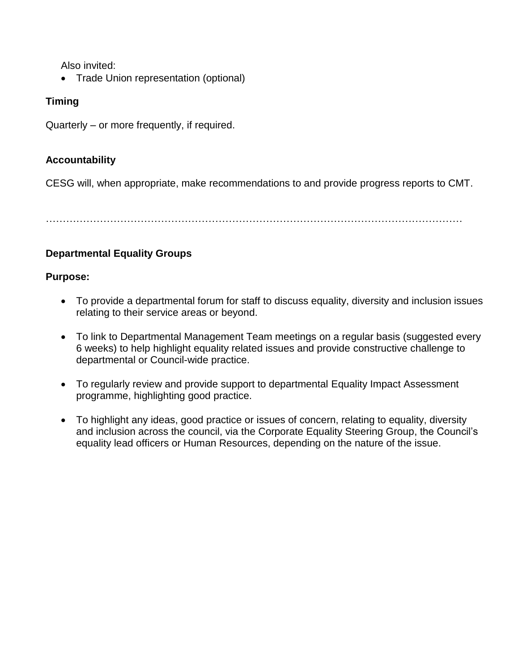Also invited:

• Trade Union representation (optional)

# **Timing**

Quarterly – or more frequently, if required.

## **Accountability**

CESG will, when appropriate, make recommendations to and provide progress reports to CMT.

……………………………………………………………………………………………………………

# **Departmental Equality Groups**

### **Purpose:**

- To provide a departmental forum for staff to discuss equality, diversity and inclusion issues relating to their service areas or beyond.
- To link to Departmental Management Team meetings on a regular basis (suggested every 6 weeks) to help highlight equality related issues and provide constructive challenge to departmental or Council-wide practice.
- To regularly review and provide support to departmental Equality Impact Assessment programme, highlighting good practice.
- To highlight any ideas, good practice or issues of concern, relating to equality, diversity and inclusion across the council, via the Corporate Equality Steering Group, the Council's equality lead officers or Human Resources, depending on the nature of the issue.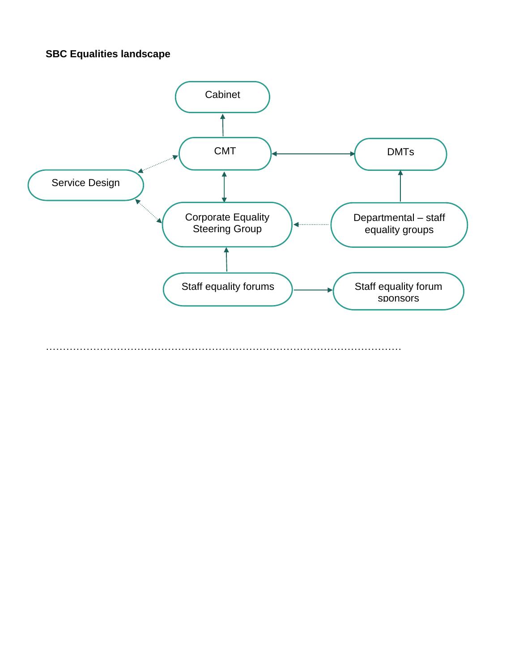# **SBC Equalities landscape**

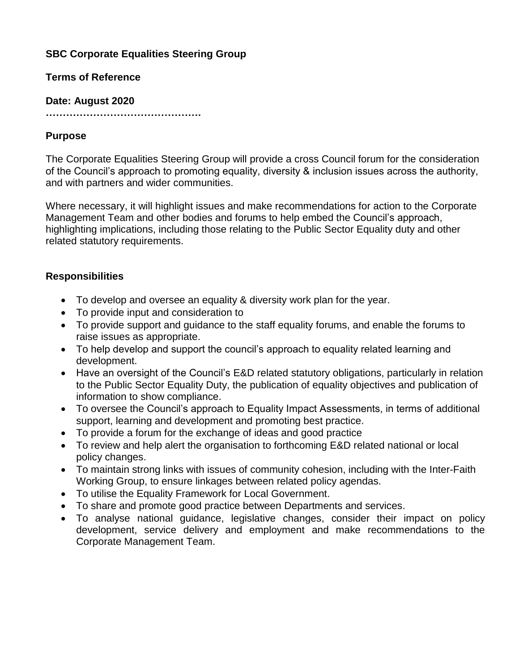# **SBC Corporate Equalities Steering Group**

### **Terms of Reference**

### **Date: August 2020**

**……………………………………….**

## **Purpose**

The Corporate Equalities Steering Group will provide a cross Council forum for the consideration of the Council's approach to promoting equality, diversity & inclusion issues across the authority, and with partners and wider communities.

Where necessary, it will highlight issues and make recommendations for action to the Corporate Management Team and other bodies and forums to help embed the Council's approach, highlighting implications, including those relating to the Public Sector Equality duty and other related statutory requirements.

# **Responsibilities**

- To develop and oversee an equality & diversity work plan for the year.
- To provide input and consideration to
- To provide support and guidance to the staff equality forums, and enable the forums to raise issues as appropriate.
- To help develop and support the council's approach to equality related learning and development.
- Have an oversight of the Council's E&D related statutory obligations, particularly in relation to the Public Sector Equality Duty, the publication of equality objectives and publication of information to show compliance.
- To oversee the Council's approach to Equality Impact Assessments, in terms of additional support, learning and development and promoting best practice.
- To provide a forum for the exchange of ideas and good practice
- To review and help alert the organisation to forthcoming E&D related national or local policy changes.
- To maintain strong links with issues of community cohesion, including with the Inter-Faith Working Group, to ensure linkages between related policy agendas.
- To utilise the Equality Framework for Local Government.
- To share and promote good practice between Departments and services.
- To analyse national guidance, legislative changes, consider their impact on policy development, service delivery and employment and make recommendations to the Corporate Management Team.